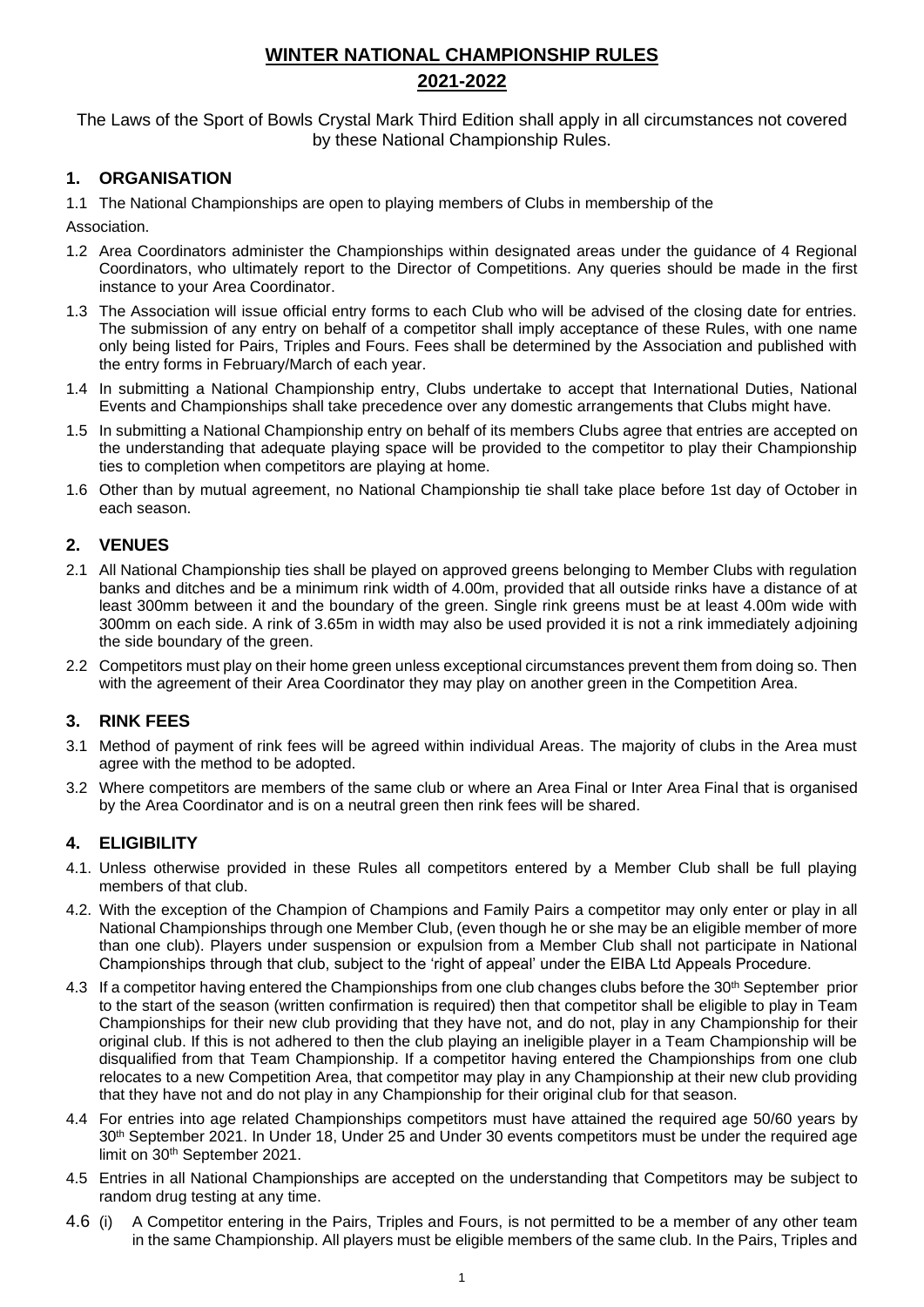# **WINTER NATIONAL CHAMPIONSHIP RULES 2021-2022**

The Laws of the Sport of Bowls Crystal Mark Third Edition shall apply in all circumstances not covered by these National Championship Rules.

### **1. ORGANISATION**

1.1 The National Championships are open to playing members of Clubs in membership of the

Association.

- 1.2 Area Coordinators administer the Championships within designated areas under the guidance of 4 Regional Coordinators, who ultimately report to the Director of Competitions. Any queries should be made in the first instance to your Area Coordinator.
- 1.3 The Association will issue official entry forms to each Club who will be advised of the closing date for entries. The submission of any entry on behalf of a competitor shall imply acceptance of these Rules, with one name only being listed for Pairs, Triples and Fours. Fees shall be determined by the Association and published with the entry forms in February/March of each year.
- 1.4 In submitting a National Championship entry, Clubs undertake to accept that International Duties, National Events and Championships shall take precedence over any domestic arrangements that Clubs might have.
- 1.5 In submitting a National Championship entry on behalf of its members Clubs agree that entries are accepted on the understanding that adequate playing space will be provided to the competitor to play their Championship ties to completion when competitors are playing at home.
- 1.6 Other than by mutual agreement, no National Championship tie shall take place before 1st day of October in each season.

#### **2. VENUES**

- 2.1 All National Championship ties shall be played on approved greens belonging to Member Clubs with regulation banks and ditches and be a minimum rink width of 4.00m, provided that all outside rinks have a distance of at least 300mm between it and the boundary of the green. Single rink greens must be at least 4.00m wide with 300mm on each side. A rink of 3.65m in width may also be used provided it is not a rink immediately adjoining the side boundary of the green.
- 2.2 Competitors must play on their home green unless exceptional circumstances prevent them from doing so. Then with the agreement of their Area Coordinator they may play on another green in the Competition Area.

#### **3. RINK FEES**

- 3.1 Method of payment of rink fees will be agreed within individual Areas. The majority of clubs in the Area must agree with the method to be adopted.
- 3.2 Where competitors are members of the same club or where an Area Final or Inter Area Final that is organised by the Area Coordinator and is on a neutral green then rink fees will be shared.

#### **4. ELIGIBILITY**

- 4.1. Unless otherwise provided in these Rules all competitors entered by a Member Club shall be full playing members of that club.
- 4.2. With the exception of the Champion of Champions and Family Pairs a competitor may only enter or play in all National Championships through one Member Club, (even though he or she may be an eligible member of more than one club). Players under suspension or expulsion from a Member Club shall not participate in National Championships through that club, subject to the 'right of appeal' under the EIBA Ltd Appeals Procedure.
- 4.3 If a competitor having entered the Championships from one club changes clubs before the 30<sup>th</sup> September prior to the start of the season (written confirmation is required) then that competitor shall be eligible to play in Team Championships for their new club providing that they have not, and do not, play in any Championship for their original club. If this is not adhered to then the club playing an ineligible player in a Team Championship will be disqualified from that Team Championship. If a competitor having entered the Championships from one club relocates to a new Competition Area, that competitor may play in any Championship at their new club providing that they have not and do not play in any Championship for their original club for that season.
- 4.4 For entries into age related Championships competitors must have attained the required age 50/60 years by 30th September 2021. In Under 18, Under 25 and Under 30 events competitors must be under the required age limit on 30th September 2021.
- 4.5 Entries in all National Championships are accepted on the understanding that Competitors may be subject to random drug testing at any time.
- 4.6 (i) A Competitor entering in the Pairs, Triples and Fours, is not permitted to be a member of any other team in the same Championship. All players must be eligible members of the same club. In the Pairs, Triples and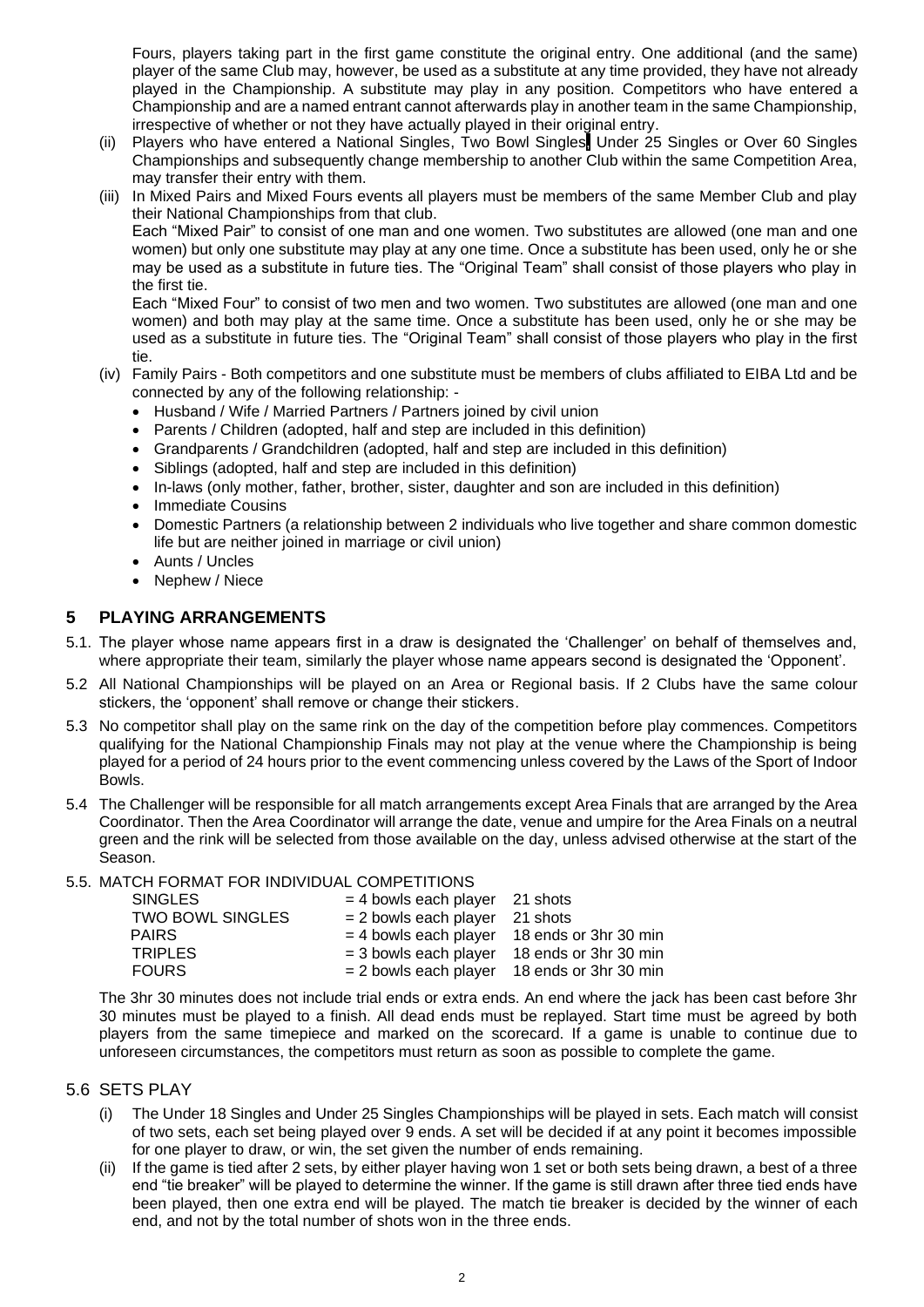Fours, players taking part in the first game constitute the original entry. One additional (and the same) player of the same Club may, however, be used as a substitute at any time provided, they have not already played in the Championship. A substitute may play in any position. Competitors who have entered a Championship and are a named entrant cannot afterwards play in another team in the same Championship, irrespective of whether or not they have actually played in their original entry.

- (ii) Players who have entered a National Singles, Two Bowl Singles, Under 25 Singles or Over 60 Singles Championships and subsequently change membership to another Club within the same Competition Area, may transfer their entry with them.
- (iii) In Mixed Pairs and Mixed Fours events all players must be members of the same Member Club and play their National Championships from that club.

Each "Mixed Pair" to consist of one man and one women. Two substitutes are allowed (one man and one women) but only one substitute may play at any one time. Once a substitute has been used, only he or she may be used as a substitute in future ties. The "Original Team" shall consist of those players who play in the first tie.

Each "Mixed Four" to consist of two men and two women. Two substitutes are allowed (one man and one women) and both may play at the same time. Once a substitute has been used, only he or she may be used as a substitute in future ties. The "Original Team" shall consist of those players who play in the first tie.

- (iv) Family Pairs Both competitors and one substitute must be members of clubs affiliated to EIBA Ltd and be connected by any of the following relationship: -
	- Husband / Wife / Married Partners / Partners joined by civil union
	- Parents / Children (adopted, half and step are included in this definition)
	- Grandparents / Grandchildren (adopted, half and step are included in this definition)
	- Siblings (adopted, half and step are included in this definition)
	- In-laws (only mother, father, brother, sister, daughter and son are included in this definition)
	- Immediate Cousins
	- Domestic Partners (a relationship between 2 individuals who live together and share common domestic life but are neither joined in marriage or civil union)
	- Aunts / Uncles
	- Nephew / Niece

#### **5 PLAYING ARRANGEMENTS**

- 5.1. The player whose name appears first in a draw is designated the 'Challenger' on behalf of themselves and, where appropriate their team, similarly the player whose name appears second is designated the 'Opponent'.
- 5.2 All National Championships will be played on an Area or Regional basis. If 2 Clubs have the same colour stickers, the 'opponent' shall remove or change their stickers.
- 5.3 No competitor shall play on the same rink on the day of the competition before play commences. Competitors qualifying for the National Championship Finals may not play at the venue where the Championship is being played for a period of 24 hours prior to the event commencing unless covered by the Laws of the Sport of Indoor Bowls.
- 5.4 The Challenger will be responsible for all match arrangements except Area Finals that are arranged by the Area Coordinator. Then the Area Coordinator will arrange the date, venue and umpire for the Area Finals on a neutral green and the rink will be selected from those available on the day, unless advised otherwise at the start of the Season.

#### 5.5. MATCH FORMAT FOR INDIVIDUAL COMPETITIONS

| <b>SINGLES</b>          | $=$ 4 bowls each player 21 shots |                                               |
|-------------------------|----------------------------------|-----------------------------------------------|
| <b>TWO BOWL SINGLES</b> | $= 2$ bowls each player 21 shots |                                               |
| <b>PAIRS</b>            |                                  | $=$ 4 bowls each player 18 ends or 3hr 30 min |
| <b>TRIPLES</b>          | $=$ 3 bowls each player          | 18 ends or 3hr 30 min                         |
| <b>FOURS</b>            |                                  | $= 2$ bowls each player 18 ends or 3hr 30 min |

The 3hr 30 minutes does not include trial ends or extra ends. An end where the jack has been cast before 3hr 30 minutes must be played to a finish. All dead ends must be replayed. Start time must be agreed by both players from the same timepiece and marked on the scorecard. If a game is unable to continue due to unforeseen circumstances, the competitors must return as soon as possible to complete the game.

#### 5.6 SETS PLAY

- (i) The Under 18 Singles and Under 25 Singles Championships will be played in sets. Each match will consist of two sets, each set being played over 9 ends. A set will be decided if at any point it becomes impossible for one player to draw, or win, the set given the number of ends remaining.
- (ii) If the game is tied after 2 sets, by either player having won 1 set or both sets being drawn, a best of a three end "tie breaker" will be played to determine the winner. If the game is still drawn after three tied ends have been played, then one extra end will be played. The match tie breaker is decided by the winner of each end, and not by the total number of shots won in the three ends.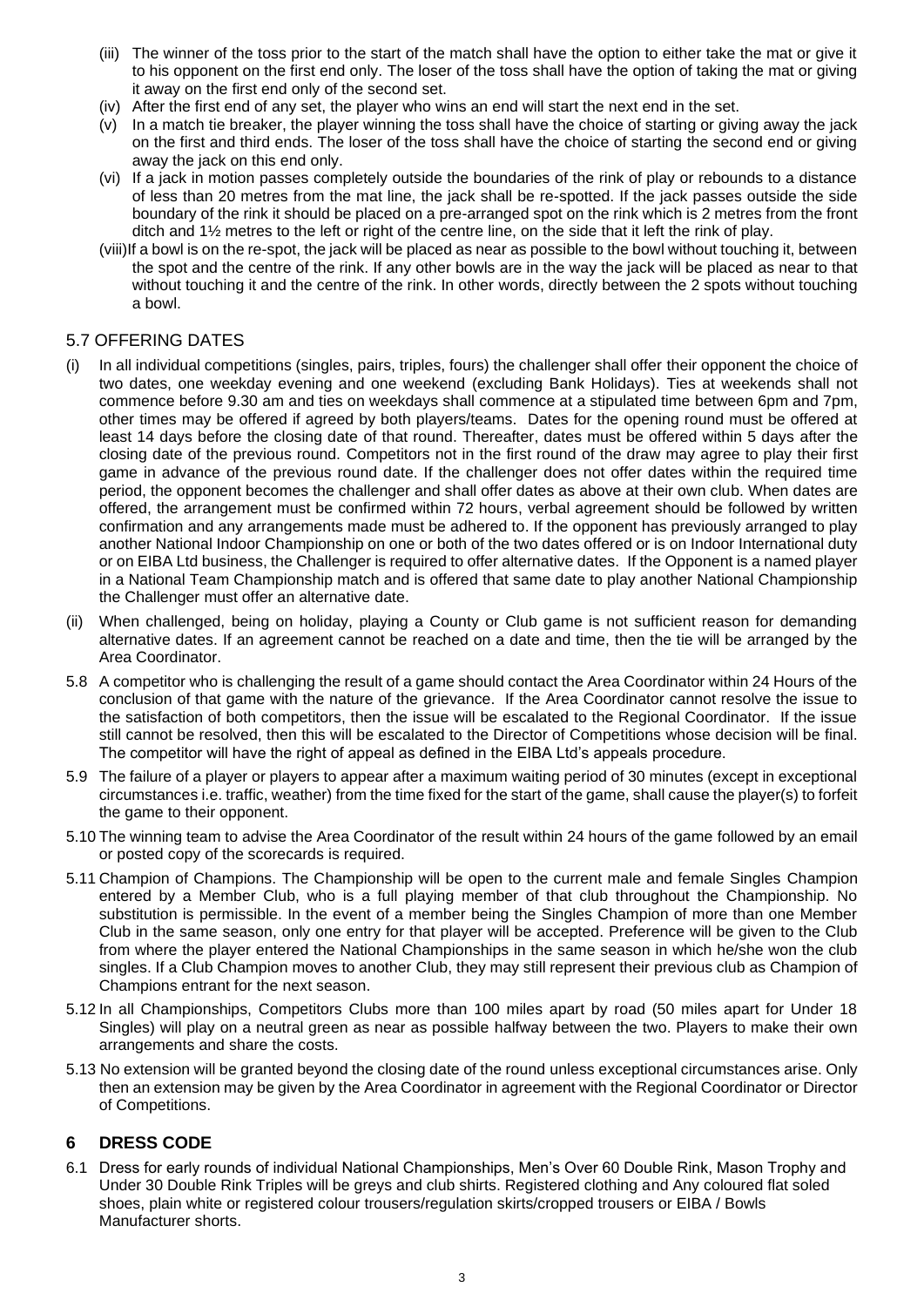- (iii) The winner of the toss prior to the start of the match shall have the option to either take the mat or give it to his opponent on the first end only. The loser of the toss shall have the option of taking the mat or giving it away on the first end only of the second set.
- (iv) After the first end of any set, the player who wins an end will start the next end in the set.
- (v) In a match tie breaker, the player winning the toss shall have the choice of starting or giving away the jack on the first and third ends. The loser of the toss shall have the choice of starting the second end or giving away the jack on this end only.
- (vi) If a jack in motion passes completely outside the boundaries of the rink of play or rebounds to a distance of less than 20 metres from the mat line, the jack shall be re-spotted. If the jack passes outside the side boundary of the rink it should be placed on a pre-arranged spot on the rink which is 2 metres from the front ditch and 1½ metres to the left or right of the centre line, on the side that it left the rink of play.
- (viii)If a bowl is on the re-spot, the jack will be placed as near as possible to the bowl without touching it, between the spot and the centre of the rink. If any other bowls are in the way the jack will be placed as near to that without touching it and the centre of the rink. In other words, directly between the 2 spots without touching a bowl.

#### 5.7 OFFERING DATES

- (i) In all individual competitions (singles, pairs, triples, fours) the challenger shall offer their opponent the choice of two dates, one weekday evening and one weekend (excluding Bank Holidays). Ties at weekends shall not commence before 9.30 am and ties on weekdays shall commence at a stipulated time between 6pm and 7pm, other times may be offered if agreed by both players/teams. Dates for the opening round must be offered at least 14 days before the closing date of that round. Thereafter, dates must be offered within 5 days after the closing date of the previous round. Competitors not in the first round of the draw may agree to play their first game in advance of the previous round date. If the challenger does not offer dates within the required time period, the opponent becomes the challenger and shall offer dates as above at their own club. When dates are offered, the arrangement must be confirmed within 72 hours, verbal agreement should be followed by written confirmation and any arrangements made must be adhered to. If the opponent has previously arranged to play another National Indoor Championship on one or both of the two dates offered or is on Indoor International duty or on EIBA Ltd business, the Challenger is required to offer alternative dates. If the Opponent is a named player in a National Team Championship match and is offered that same date to play another National Championship the Challenger must offer an alternative date.
- (ii) When challenged, being on holiday, playing a County or Club game is not sufficient reason for demanding alternative dates. If an agreement cannot be reached on a date and time, then the tie will be arranged by the Area Coordinator.
- 5.8 A competitor who is challenging the result of a game should contact the Area Coordinator within 24 Hours of the conclusion of that game with the nature of the grievance. If the Area Coordinator cannot resolve the issue to the satisfaction of both competitors, then the issue will be escalated to the Regional Coordinator. If the issue still cannot be resolved, then this will be escalated to the Director of Competitions whose decision will be final. The competitor will have the right of appeal as defined in the EIBA Ltd's appeals procedure.
- 5.9 The failure of a player or players to appear after a maximum waiting period of 30 minutes (except in exceptional circumstances i.e. traffic, weather) from the time fixed for the start of the game, shall cause the player(s) to forfeit the game to their opponent.
- 5.10 The winning team to advise the Area Coordinator of the result within 24 hours of the game followed by an email or posted copy of the scorecards is required.
- 5.11 Champion of Champions. The Championship will be open to the current male and female Singles Champion entered by a Member Club, who is a full playing member of that club throughout the Championship. No substitution is permissible. In the event of a member being the Singles Champion of more than one Member Club in the same season, only one entry for that player will be accepted. Preference will be given to the Club from where the player entered the National Championships in the same season in which he/she won the club singles. If a Club Champion moves to another Club, they may still represent their previous club as Champion of Champions entrant for the next season.
- 5.12 In all Championships, Competitors Clubs more than 100 miles apart by road (50 miles apart for Under 18 Singles) will play on a neutral green as near as possible halfway between the two. Players to make their own arrangements and share the costs.
- 5.13 No extension will be granted beyond the closing date of the round unless exceptional circumstances arise. Only then an extension may be given by the Area Coordinator in agreement with the Regional Coordinator or Director of Competitions.

#### **6 DRESS CODE**

6.1 Dress for early rounds of individual National Championships, Men's Over 60 Double Rink, Mason Trophy and Under 30 Double Rink Triples will be greys and club shirts. Registered clothing and Any coloured flat soled shoes, plain white or registered colour trousers/regulation skirts/cropped trousers or EIBA / Bowls Manufacturer shorts.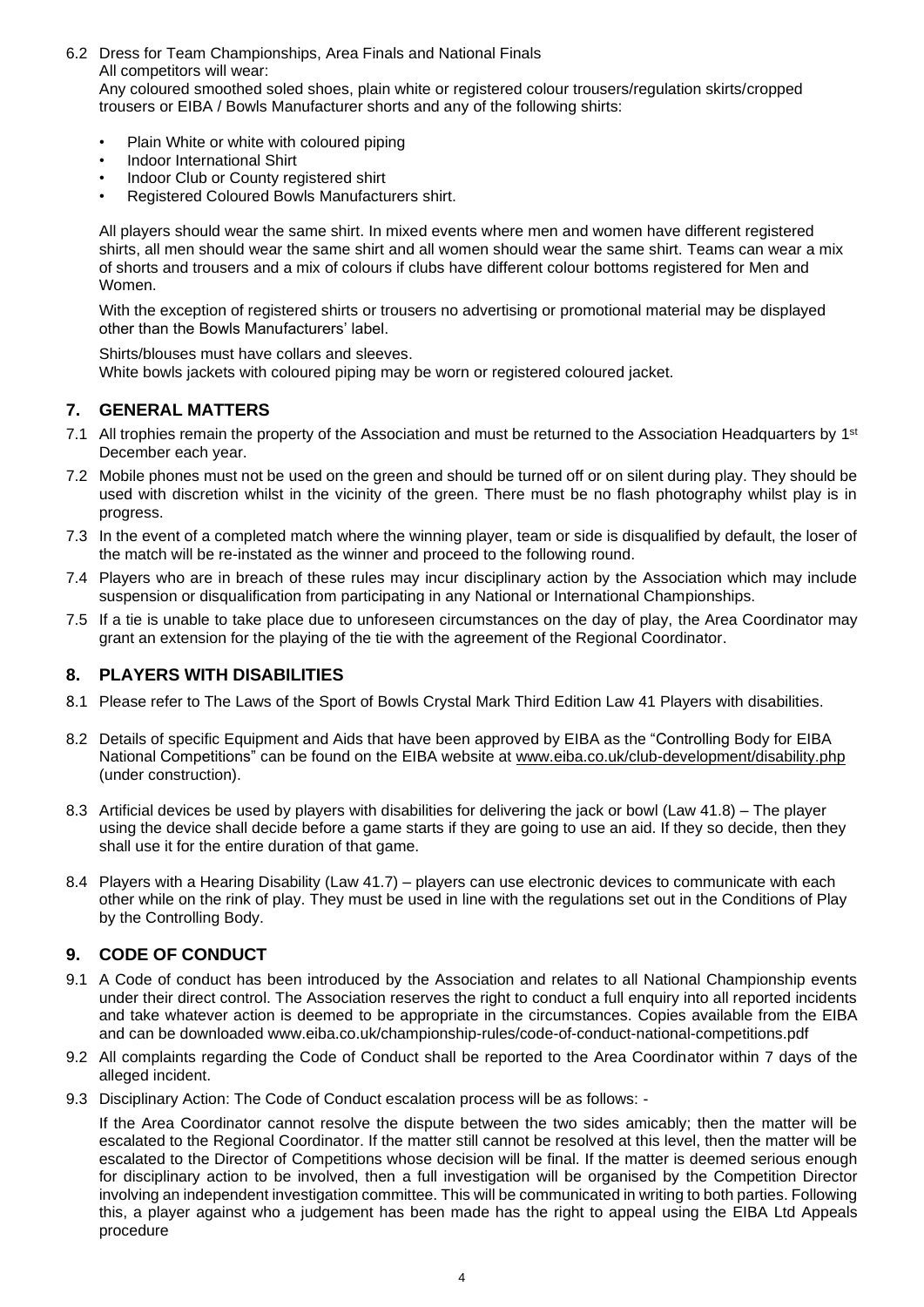- 6.2 Dress for Team Championships, Area Finals and National Finals All competitors will wear: Any coloured smoothed soled shoes, plain white or registered colour trousers/regulation skirts/cropped trousers or EIBA / Bowls Manufacturer shorts and any of the following shirts:
	- Plain White or white with coloured piping
	- Indoor International Shirt
	- Indoor Club or County registered shirt
	- Registered Coloured Bowls Manufacturers shirt.

All players should wear the same shirt. In mixed events where men and women have different registered shirts, all men should wear the same shirt and all women should wear the same shirt. Teams can wear a mix of shorts and trousers and a mix of colours if clubs have different colour bottoms registered for Men and Women.

With the exception of registered shirts or trousers no advertising or promotional material may be displayed other than the Bowls Manufacturers' label.

Shirts/blouses must have collars and sleeves.

White bowls jackets with coloured piping may be worn or registered coloured jacket.

#### **7. GENERAL MATTERS**

- 7.1 All trophies remain the property of the Association and must be returned to the Association Headquarters by 1<sup>st</sup> December each year.
- 7.2 Mobile phones must not be used on the green and should be turned off or on silent during play. They should be used with discretion whilst in the vicinity of the green. There must be no flash photography whilst play is in progress.
- 7.3 In the event of a completed match where the winning player, team or side is disqualified by default, the loser of the match will be re-instated as the winner and proceed to the following round.
- 7.4 Players who are in breach of these rules may incur disciplinary action by the Association which may include suspension or disqualification from participating in any National or International Championships.
- 7.5 If a tie is unable to take place due to unforeseen circumstances on the day of play, the Area Coordinator may grant an extension for the playing of the tie with the agreement of the Regional Coordinator.

#### **8. PLAYERS WITH DISABILITIES**

- 8.1 Please refer to The Laws of the Sport of Bowls Crystal Mark Third Edition Law 41 Players with disabilities.
- 8.2 Details of specific Equipment and Aids that have been approved by EIBA as the "Controlling Body for EIBA National Competitions" can be found on the EIBA website at [www.eiba.co.uk/club-development/disability.php](http://www.eiba.co.uk/club-development/disability.php) (under construction).
- 8.3 Artificial devices be used by players with disabilities for delivering the jack or bowl (Law 41.8) The player using the device shall decide before a game starts if they are going to use an aid. If they so decide, then they shall use it for the entire duration of that game.
- 8.4 Players with a Hearing Disability (Law 41.7) players can use electronic devices to communicate with each other while on the rink of play. They must be used in line with the regulations set out in the Conditions of Play by the Controlling Body.

#### **9. CODE OF CONDUCT**

- 9.1 A Code of conduct has been introduced by the Association and relates to all National Championship events under their direct control. The Association reserves the right to conduct a full enquiry into all reported incidents and take whatever action is deemed to be appropriate in the circumstances. Copies available from the EIBA and can be downloaded www.eiba.co.uk/championship-rules/code-of-conduct-national-competitions.pdf
- 9.2 All complaints regarding the Code of Conduct shall be reported to the Area Coordinator within 7 days of the alleged incident.
- 9.3 Disciplinary Action: The Code of Conduct escalation process will be as follows: -

If the Area Coordinator cannot resolve the dispute between the two sides amicably; then the matter will be escalated to the Regional Coordinator. If the matter still cannot be resolved at this level, then the matter will be escalated to the Director of Competitions whose decision will be final. If the matter is deemed serious enough for disciplinary action to be involved, then a full investigation will be organised by the Competition Director involving an independent investigation committee. This will be communicated in writing to both parties. Following this, a player against who a judgement has been made has the right to appeal using the EIBA Ltd Appeals procedure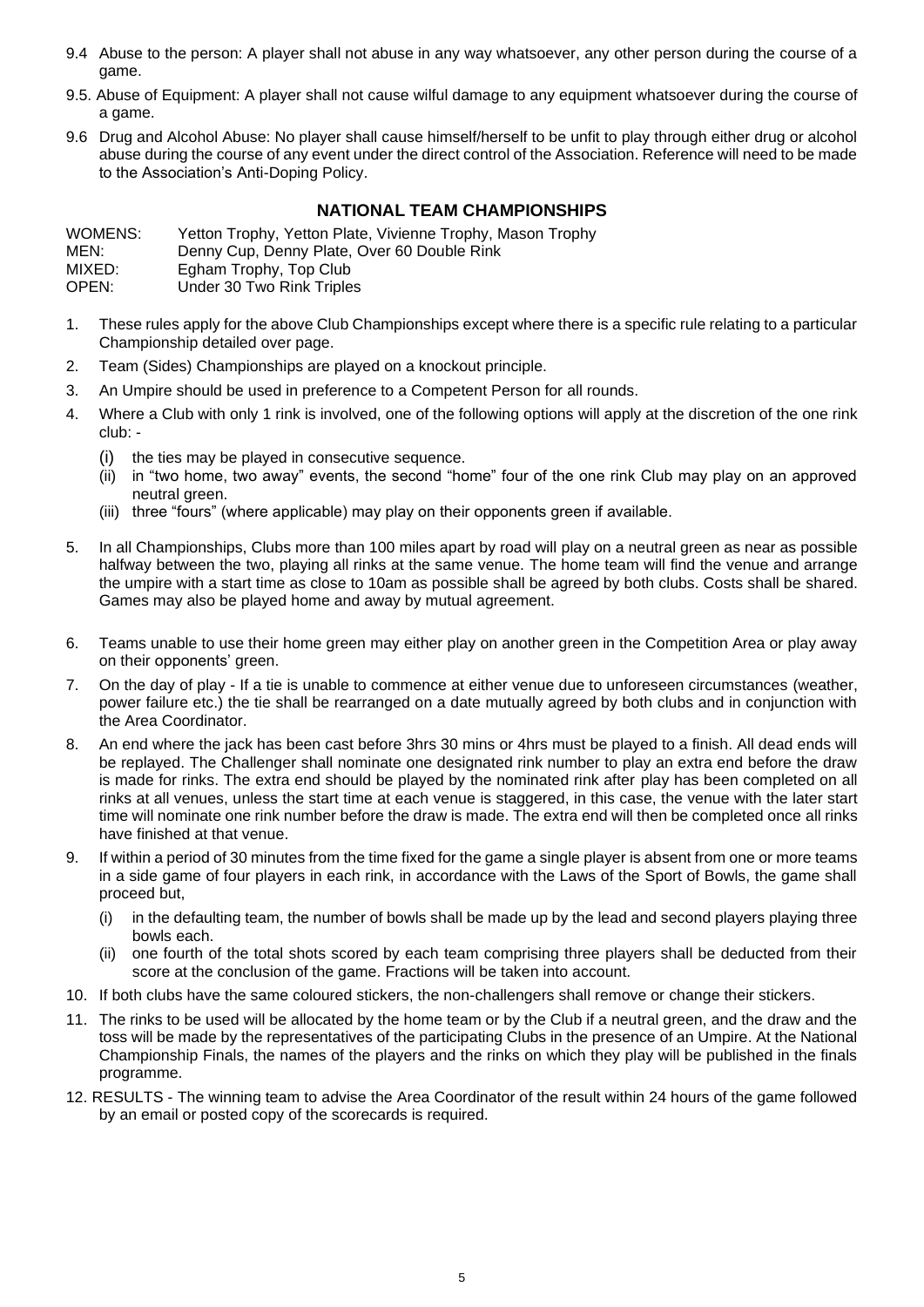- 9.4 Abuse to the person: A player shall not abuse in any way whatsoever, any other person during the course of a game.
- 9.5. Abuse of Equipment: A player shall not cause wilful damage to any equipment whatsoever during the course of a game.
- 9.6 Drug and Alcohol Abuse: No player shall cause himself/herself to be unfit to play through either drug or alcohol abuse during the course of any event under the direct control of the Association. Reference will need to be made to the Association's Anti-Doping Policy.

### **NATIONAL TEAM CHAMPIONSHIPS**

WOMENS: Yetton Trophy, Yetton Plate, Vivienne Trophy, Mason Trophy MEN: Denny Cup, Denny Plate, Over 60 Double Rink MIXED: Egham Trophy, Top Club<br>OPEN: Under 30 Two Rink Triple Under 30 Two Rink Triples

- 1. These rules apply for the above Club Championships except where there is a specific rule relating to a particular Championship detailed over page.
- 2. Team (Sides) Championships are played on a knockout principle.
- 3. An Umpire should be used in preference to a Competent Person for all rounds.
- 4. Where a Club with only 1 rink is involved, one of the following options will apply at the discretion of the one rink club: -
	- (i) the ties may be played in consecutive sequence.
	- (ii) in "two home, two away" events, the second "home" four of the one rink Club may play on an approved neutral green.
	- (iii) three "fours" (where applicable) may play on their opponents green if available.
- 5. In all Championships, Clubs more than 100 miles apart by road will play on a neutral green as near as possible halfway between the two, playing all rinks at the same venue. The home team will find the venue and arrange the umpire with a start time as close to 10am as possible shall be agreed by both clubs. Costs shall be shared. Games may also be played home and away by mutual agreement.
- 6. Teams unable to use their home green may either play on another green in the Competition Area or play away on their opponents' green.
- 7. On the day of play If a tie is unable to commence at either venue due to unforeseen circumstances (weather, power failure etc.) the tie shall be rearranged on a date mutually agreed by both clubs and in conjunction with the Area Coordinator.
- 8. An end where the jack has been cast before 3hrs 30 mins or 4hrs must be played to a finish. All dead ends will be replayed. The Challenger shall nominate one designated rink number to play an extra end before the draw is made for rinks. The extra end should be played by the nominated rink after play has been completed on all rinks at all venues, unless the start time at each venue is staggered, in this case, the venue with the later start time will nominate one rink number before the draw is made. The extra end will then be completed once all rinks have finished at that venue.
- 9.. If within a period of 30 minutes from the time fixed for the game a single player is absent from one or more teams in a side game of four players in each rink, in accordance with the Laws of the Sport of Bowls, the game shall proceed but,
	- (i) in the defaulting team, the number of bowls shall be made up by the lead and second players playing three bowls each.
	- one fourth of the total shots scored by each team comprising three players shall be deducted from their score at the conclusion of the game. Fractions will be taken into account.
- 10. If both clubs have the same coloured stickers, the non-challengers shall remove or change their stickers.
- 11. The rinks to be used will be allocated by the home team or by the Club if a neutral green, and the draw and the toss will be made by the representatives of the participating Clubs in the presence of an Umpire. At the National Championship Finals, the names of the players and the rinks on which they play will be published in the finals programme.
- 12. RESULTS The winning team to advise the Area Coordinator of the result within 24 hours of the game followed by an email or posted copy of the scorecards is required.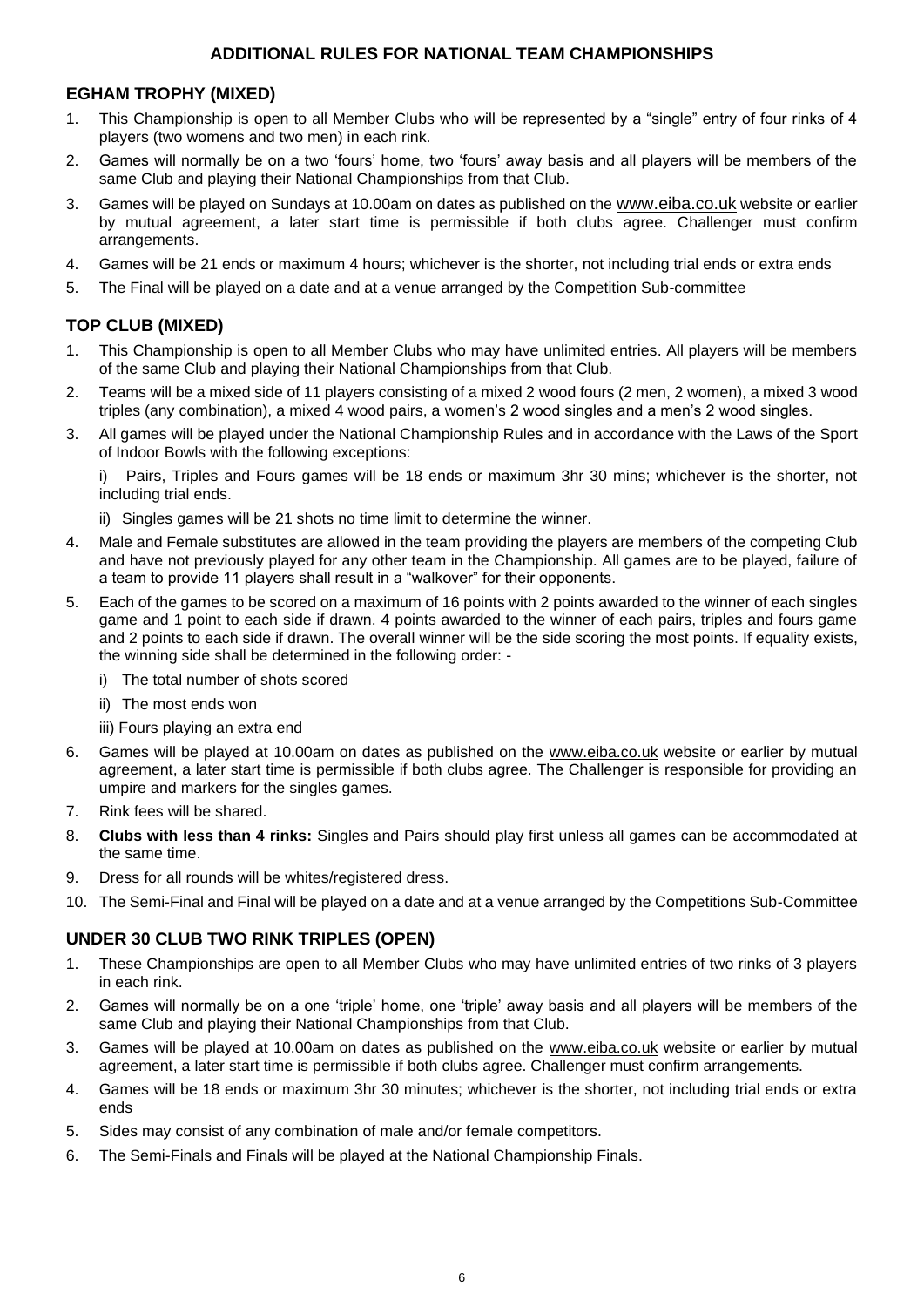#### **ADDITIONAL RULES FOR NATIONAL TEAM CHAMPIONSHIPS**

#### **EGHAM TROPHY (MIXED)**

- 1. This Championship is open to all Member Clubs who will be represented by a "single" entry of four rinks of 4 players (two womens and two men) in each rink.
- 2. Games will normally be on a two 'fours' home, two 'fours' away basis and all players will be members of the same Club and playing their National Championships from that Club.
- 3. Games will be played on Sundays at 10.00am on dates as published on the [www.eiba.co.uk](http://www.eiba.co.uk/) website or earlier by mutual agreement, a later start time is permissible if both clubs agree. Challenger must confirm arrangements.
- 4. Games will be 21 ends or maximum 4 hours; whichever is the shorter, not including trial ends or extra ends
- 5. The Final will be played on a date and at a venue arranged by the Competition Sub-committee

### **TOP CLUB (MIXED)**

- 1. This Championship is open to all Member Clubs who may have unlimited entries. All players will be members of the same Club and playing their National Championships from that Club.
- 2. Teams will be a mixed side of 11 players consisting of a mixed 2 wood fours (2 men, 2 women), a mixed 3 wood triples (any combination), a mixed 4 wood pairs, a women's 2 wood singles and a men's 2 wood singles.
- 3. All games will be played under the National Championship Rules and in accordance with the Laws of the Sport of Indoor Bowls with the following exceptions:

i) Pairs, Triples and Fours games will be 18 ends or maximum 3hr 30 mins; whichever is the shorter, not including trial ends.

- ii) Singles games will be 21 shots no time limit to determine the winner.
- 4. Male and Female substitutes are allowed in the team providing the players are members of the competing Club and have not previously played for any other team in the Championship. All games are to be played, failure of a team to provide 11 players shall result in a "walkover" for their opponents.
- 5. Each of the games to be scored on a maximum of 16 points with 2 points awarded to the winner of each singles game and 1 point to each side if drawn. 4 points awarded to the winner of each pairs, triples and fours game and 2 points to each side if drawn. The overall winner will be the side scoring the most points. If equality exists, the winning side shall be determined in the following order:
	- i) The total number of shots scored
	- ii) The most ends won
	- iii) Fours playing an extra end
- 6. Games will be played at 10.00am on dates as published on the [www.eiba.co.uk](http://www.eiba.co.uk/) website or earlier by mutual agreement, a later start time is permissible if both clubs agree. The Challenger is responsible for providing an umpire and markers for the singles games.
- 7. Rink fees will be shared.
- 8. **Clubs with less than 4 rinks:** Singles and Pairs should play first unless all games can be accommodated at the same time.
- 9. Dress for all rounds will be whites/registered dress.
- 10. The Semi-Final and Final will be played on a date and at a venue arranged by the Competitions Sub-Committee

#### **UNDER 30 CLUB TWO RINK TRIPLES (OPEN)**

- 1. These Championships are open to all Member Clubs who may have unlimited entries of two rinks of 3 players in each rink.
- 2. Games will normally be on a one 'triple' home, one 'triple' away basis and all players will be members of the same Club and playing their National Championships from that Club.
- 3. Games will be played at 10.00am on dates as published on the [www.eiba.co.uk](http://www.eiba.co.uk/) website or earlier by mutual agreement, a later start time is permissible if both clubs agree. Challenger must confirm arrangements.
- 4. Games will be 18 ends or maximum 3hr 30 minutes; whichever is the shorter, not including trial ends or extra ends
- 5. Sides may consist of any combination of male and/or female competitors.
- 6. The Semi-Finals and Finals will be played at the National Championship Finals.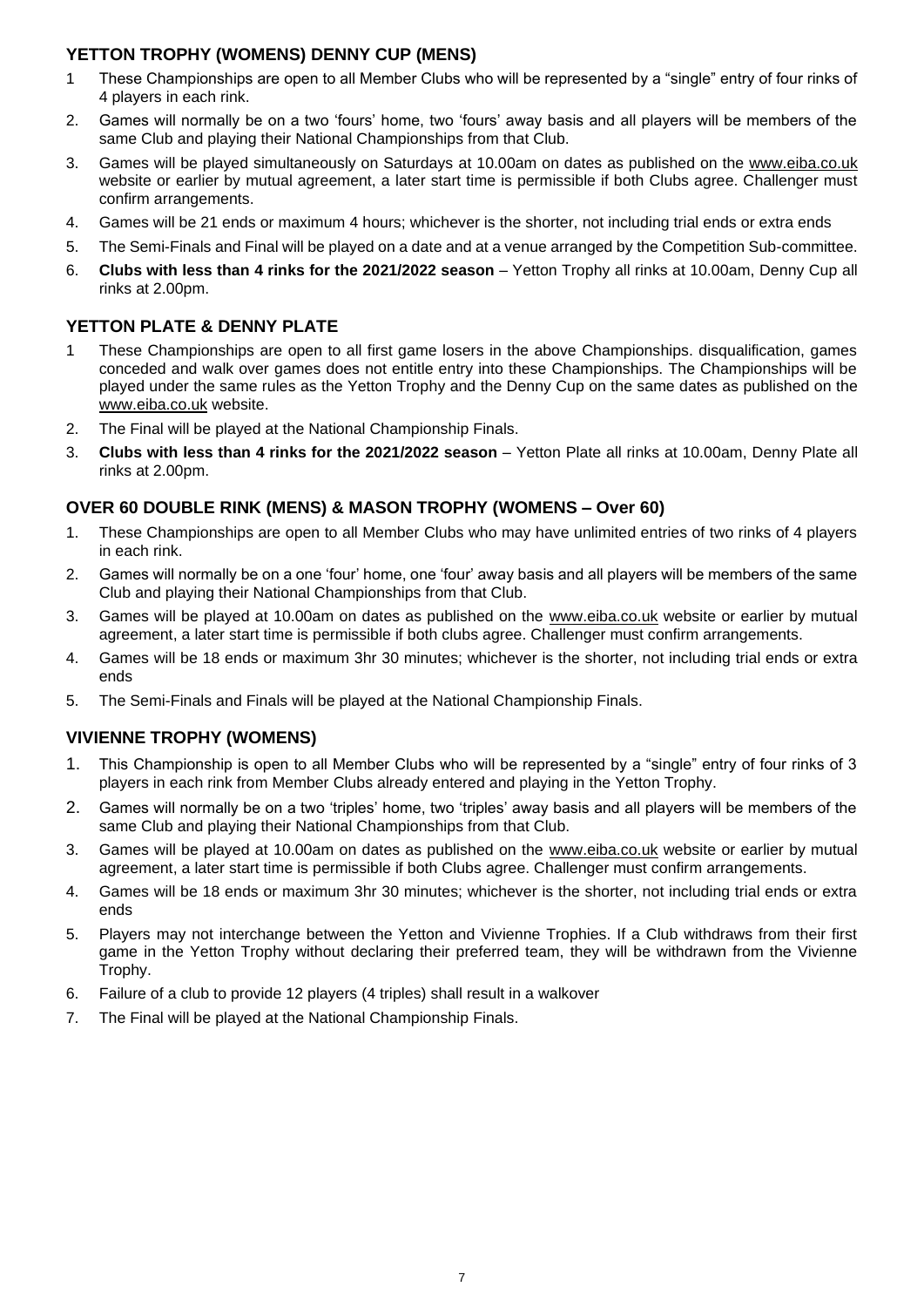# **YETTON TROPHY (WOMENS) DENNY CUP (MENS)**

- 1 These Championships are open to all Member Clubs who will be represented by a "single" entry of four rinks of 4 players in each rink.
- 2. Games will normally be on a two 'fours' home, two 'fours' away basis and all players will be members of the same Club and playing their National Championships from that Club.
- 3. Games will be played simultaneously on Saturdays at 10.00am on dates as published on the [www.eiba.co.uk](http://www.eiba.co.uk/) website or earlier by mutual agreement, a later start time is permissible if both Clubs agree. Challenger must confirm arrangements.
- 4. Games will be 21 ends or maximum 4 hours; whichever is the shorter, not including trial ends or extra ends
- 5. The Semi-Finals and Final will be played on a date and at a venue arranged by the Competition Sub-committee.
- 6. **Clubs with less than 4 rinks for the 2021/2022 season** Yetton Trophy all rinks at 10.00am, Denny Cup all rinks at 2.00pm.

# **YETTON PLATE & DENNY PLATE**

- 1 These Championships are open to all first game losers in the above Championships. disqualification, games conceded and walk over games does not entitle entry into these Championships. The Championships will be played under the same rules as the Yetton Trophy and the Denny Cup on the same dates as published on the [www.eiba.co.uk](http://www.eiba.co.uk/) website.
- 2. The Final will be played at the National Championship Finals.
- 3. **Clubs with less than 4 rinks for the 2021/2022 season** Yetton Plate all rinks at 10.00am, Denny Plate all rinks at 2.00pm.

### **OVER 60 DOUBLE RINK (MENS) & MASON TROPHY (WOMENS – Over 60)**

- 1. These Championships are open to all Member Clubs who may have unlimited entries of two rinks of 4 players in each rink.
- 2. Games will normally be on a one 'four' home, one 'four' away basis and all players will be members of the same Club and playing their National Championships from that Club.
- 3. Games will be played at 10.00am on dates as published on the [www.eiba.co.uk](http://www.eiba.co.uk/) website or earlier by mutual agreement, a later start time is permissible if both clubs agree. Challenger must confirm arrangements.
- 4. Games will be 18 ends or maximum 3hr 30 minutes; whichever is the shorter, not including trial ends or extra ends
- 5. The Semi-Finals and Finals will be played at the National Championship Finals.

# **VIVIENNE TROPHY (WOMENS)**

- 1. This Championship is open to all Member Clubs who will be represented by a "single" entry of four rinks of 3 players in each rink from Member Clubs already entered and playing in the Yetton Trophy.
- 2. Games will normally be on a two 'triples' home, two 'triples' away basis and all players will be members of the same Club and playing their National Championships from that Club.
- 3. Games will be played at 10.00am on dates as published on the [www.eiba.co.uk](http://www.eiba.co.uk/) website or earlier by mutual agreement, a later start time is permissible if both Clubs agree. Challenger must confirm arrangements.
- 4. Games will be 18 ends or maximum 3hr 30 minutes; whichever is the shorter, not including trial ends or extra ends
- 5. Players may not interchange between the Yetton and Vivienne Trophies. If a Club withdraws from their first game in the Yetton Trophy without declaring their preferred team, they will be withdrawn from the Vivienne Trophy.
- 6. Failure of a club to provide 12 players (4 triples) shall result in a walkover
- 7. The Final will be played at the National Championship Finals.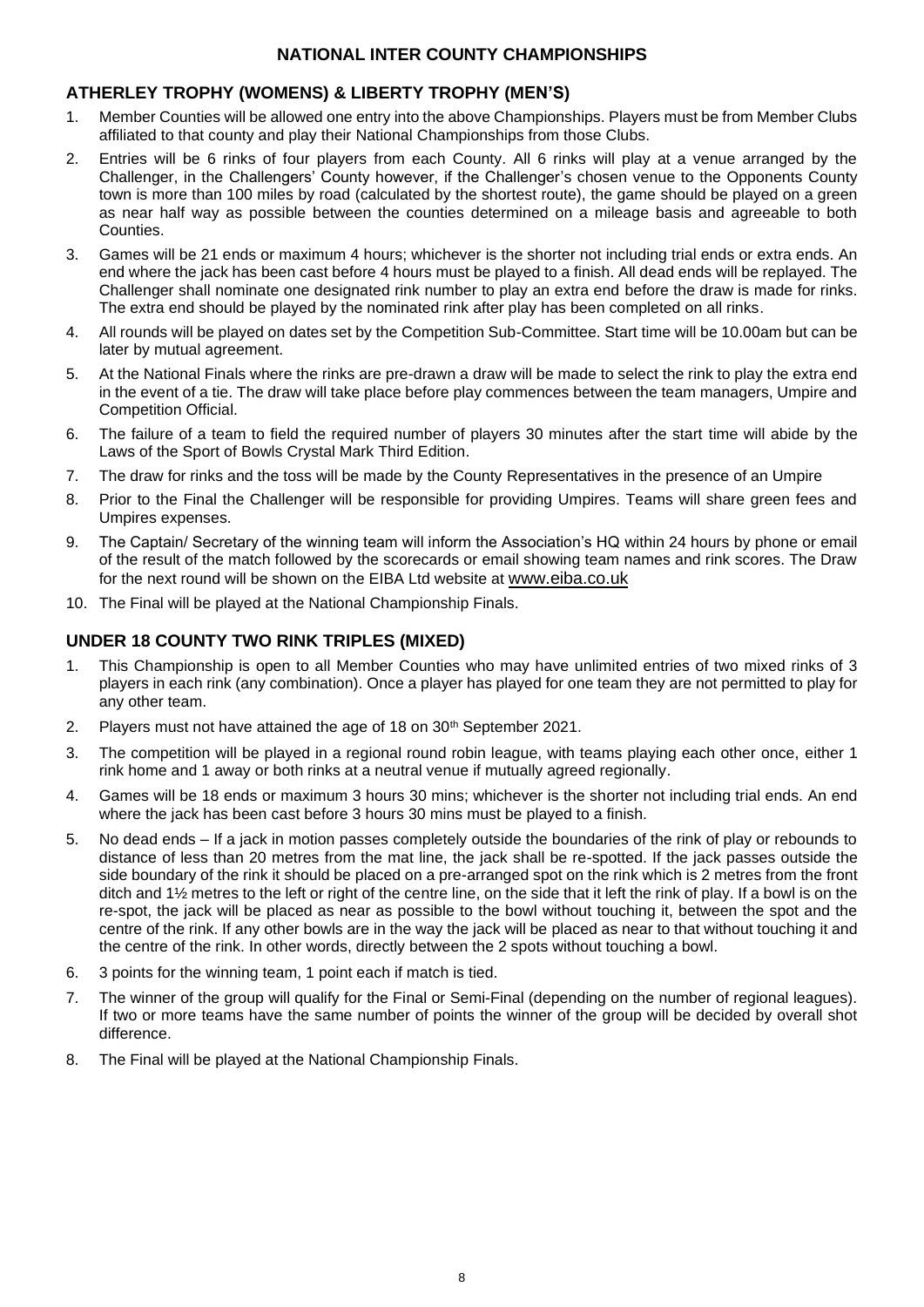#### **NATIONAL INTER COUNTY CHAMPIONSHIPS**

#### **ATHERLEY TROPHY (WOMENS) & LIBERTY TROPHY (MEN'S)**

- 1. Member Counties will be allowed one entry into the above Championships. Players must be from Member Clubs affiliated to that county and play their National Championships from those Clubs.
- 2. Entries will be 6 rinks of four players from each County. All 6 rinks will play at a venue arranged by the Challenger, in the Challengers' County however, if the Challenger's chosen venue to the Opponents County town is more than 100 miles by road (calculated by the shortest route), the game should be played on a green as near half way as possible between the counties determined on a mileage basis and agreeable to both Counties.
- 3. Games will be 21 ends or maximum 4 hours; whichever is the shorter not including trial ends or extra ends. An end where the jack has been cast before 4 hours must be played to a finish. All dead ends will be replayed. The Challenger shall nominate one designated rink number to play an extra end before the draw is made for rinks. The extra end should be played by the nominated rink after play has been completed on all rinks.
- 4. All rounds will be played on dates set by the Competition Sub-Committee. Start time will be 10.00am but can be later by mutual agreement.
- 5. At the National Finals where the rinks are pre-drawn a draw will be made to select the rink to play the extra end in the event of a tie. The draw will take place before play commences between the team managers, Umpire and Competition Official.
- 6. The failure of a team to field the required number of players 30 minutes after the start time will abide by the Laws of the Sport of Bowls Crystal Mark Third Edition.
- 7. The draw for rinks and the toss will be made by the County Representatives in the presence of an Umpire
- 8. Prior to the Final the Challenger will be responsible for providing Umpires. Teams will share green fees and Umpires expenses.
- 9. The Captain/ Secretary of the winning team will inform the Association's HQ within 24 hours by phone or email of the result of the match followed by the scorecards or email showing team names and rink scores. The Draw for the next round will be shown on the EIBA Ltd website at [www.eiba.co.uk](http://www.eiba.co.uk/)
- 10. The Final will be played at the National Championship Finals.

#### **UNDER 18 COUNTY TWO RINK TRIPLES (MIXED)**

- 1. This Championship is open to all Member Counties who may have unlimited entries of two mixed rinks of 3 players in each rink (any combination). Once a player has played for one team they are not permitted to play for any other team.
- 2. Players must not have attained the age of 18 on  $30<sup>th</sup>$  September 2021.
- 3. The competition will be played in a regional round robin league, with teams playing each other once, either 1 rink home and 1 away or both rinks at a neutral venue if mutually agreed regionally.
- 4. Games will be 18 ends or maximum 3 hours 30 mins; whichever is the shorter not including trial ends. An end where the jack has been cast before 3 hours 30 mins must be played to a finish.
- 5. No dead ends If a jack in motion passes completely outside the boundaries of the rink of play or rebounds to distance of less than 20 metres from the mat line, the jack shall be re-spotted. If the jack passes outside the side boundary of the rink it should be placed on a pre-arranged spot on the rink which is 2 metres from the front ditch and 1½ metres to the left or right of the centre line, on the side that it left the rink of play. If a bowl is on the re-spot, the jack will be placed as near as possible to the bowl without touching it, between the spot and the centre of the rink. If any other bowls are in the way the jack will be placed as near to that without touching it and the centre of the rink. In other words, directly between the 2 spots without touching a bowl.
- 6. 3 points for the winning team, 1 point each if match is tied.
- 7. The winner of the group will qualify for the Final or Semi-Final (depending on the number of regional leagues). If two or more teams have the same number of points the winner of the group will be decided by overall shot difference.
- 8. The Final will be played at the National Championship Finals.